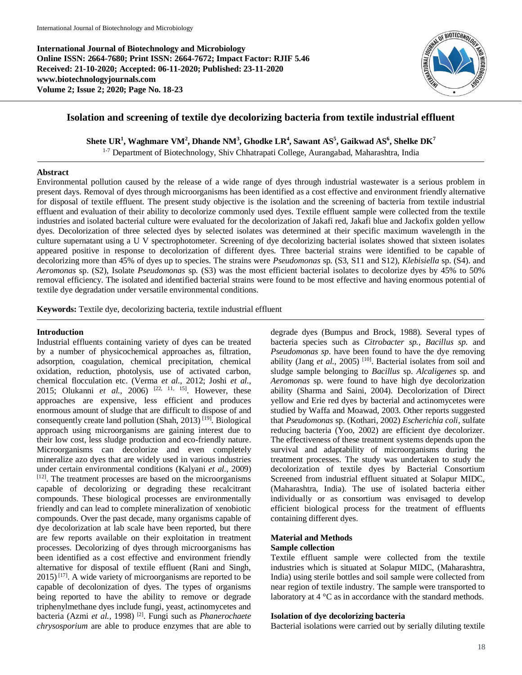**International Journal of Biotechnology and Microbiology Online ISSN: 2664-7680; Print ISSN: 2664-7672; Impact Factor: RJIF 5.46 Received: 21-10-2020; Accepted: 06-11-2020; Published: 23-11-2020 www.biotechnologyjournals.com Volume 2; Issue 2; 2020; Page No. 18-23**



# **Isolation and screening of textile dye decolorizing bacteria from textile industrial effluent**

**Shete UR<sup>1</sup> , Waghmare VM<sup>2</sup> , Dhande NM<sup>3</sup> , Ghodke LR<sup>4</sup> , Sawant AS<sup>5</sup> , Gaikwad AS<sup>6</sup> , Shelke DK<sup>7</sup>**

<sup>1-7</sup> Department of Biotechnology, Shiv Chhatrapati College, Aurangabad, Maharashtra, India

## **Abstract**

Environmental pollution caused by the release of a wide range of dyes through industrial wastewater is a serious problem in present days. Removal of dyes through microorganisms has been identified as a cost effective and environment friendly alternative for disposal of textile effluent. The present study objective is the isolation and the screening of bacteria from textile industrial effluent and evaluation of their ability to decolorize commonly used dyes. Textile effluent sample were collected from the textile industries and isolated bacterial culture were evaluated for the decolorization of Jakafi red, Jakafi blue and Jackofix golden yellow dyes. Decolorization of three selected dyes by selected isolates was determined at their specific maximum wavelength in the culture supernatant using a U V spectrophotometer. Screening of dye decolorizing bacterial isolates showed that sixteen isolates appeared positive in response to decolorization of different dyes. Three bacterial strains were identified to be capable of decolorizing more than 45% of dyes up to species. The strains were *Pseudomonas* sp. (S3, S11 and S12), *Klebisiella* sp. (S4). and *Aeromonas* sp. (S2), Isolate *Pseudomonas* sp. (S3) was the most efficient bacterial isolates to decolorize dyes by 45% to 50% removal efficiency. The isolated and identified bacterial strains were found to be most effective and having enormous potential of textile dye degradation under versatile environmental conditions.

**Keywords:** Textile dye, decolorizing bacteria, textile industrial effluent

# **Introduction**

Industrial effluents containing variety of dyes can be treated by a number of physicochemical approaches as, filtration, adsorption, coagulation, chemical precipitation, chemical oxidation, reduction, photolysis, use of activated carbon, chemical flocculation etc. (Verma *et al.,* 2012; Joshi *et al.,* 2015; Olukanni *et al.,* 2006) [22, 11, 15]. However, these approaches are expensive, less efficient and produces enormous amount of sludge that are difficult to dispose of and consequently create land pollution (Shah, 2013)<sup>[19]</sup>. Biological approach using microorganisms are gaining interest due to their low cost, less sludge production and eco-friendly nature. Microorganisms can decolorize and even completely mineralize azo dyes that are widely used in various industries under certain environmental conditions (Kalyani *et al.,* 2009) [12]. The treatment processes are based on the microorganisms capable of decolorizing or degrading these recalcitrant compounds. These biological processes are environmentally friendly and can lead to complete mineralization of xenobiotic compounds. Over the past decade, many organisms capable of dye decolorization at lab scale have been reported, but there are few reports available on their exploitation in treatment processes. Decolorizing of dyes through microorganisms has been identified as a cost effective and environment friendly alternative for disposal of textile effluent (Rani and Singh,  $2015$ <sup>[17]</sup>. A wide variety of microorganisms are reported to be capable of decolonization of dyes. The types of organisms being reported to have the ability to remove or degrade triphenylmethane dyes include fungi, yeast, actinomycetes and bacteria (Azmi *et al.,* 1998) [2]. Fungi such as *Phanerochaete chrysosporium* are able to produce enzymes that are able to

degrade dyes (Bumpus and Brock, 1988). Several types of bacteria species such as *Citrobacter sp., Bacillus sp.* and *Pseudomonas sp*. have been found to have the dye removing ability (Jang *et al.*, 2005)<sup>[10]</sup>. Bacterial isolates from soil and sludge sample belonging to *Bacillus* sp. *Alcaligenes* sp. and *Aeromonas* sp. were found to have high dye decolorization ability (Sharma and Saini, 2004). Decolorization of Direct yellow and Erie red dyes by bacterial and actinomycetes were studied by Waffa and Moawad, 2003. Other reports suggested that *Pseudomonas* sp. (Kothari, 2002) *Escherichia coli*, sulfate reducing bacteria (Yoo, 2002) are efficient dye decolorizer. The effectiveness of these treatment systems depends upon the survival and adaptability of microorganisms during the treatment processes. The study was undertaken to study the decolorization of textile dyes by Bacterial Consortium Screened from industrial effluent situated at Solapur MIDC, (Maharashtra, India). The use of isolated bacteria either individually or as consortium was envisaged to develop efficient biological process for the treatment of effluents containing different dyes.

## **Material and Methods Sample collection**

Textile effluent sample were collected from the textile industries which is situated at Solapur MIDC, (Maharashtra, India) using sterile bottles and soil sample were collected from near region of textile industry. The sample were transported to laboratory at 4 °C as in accordance with the standard methods.

# **Isolation of dye decolorizing bacteria**

Bacterial isolations were carried out by serially diluting textile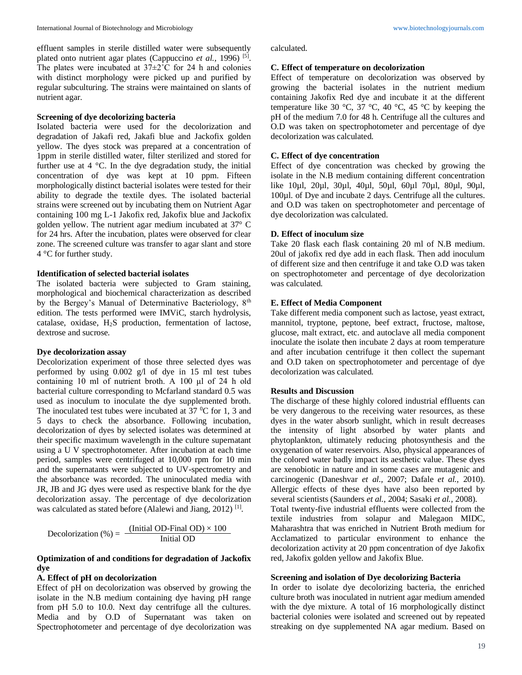effluent samples in sterile distilled water were subsequently plated onto nutrient agar plates (Cappuccino et al., 1996)<sup>[5]</sup>. The plates were incubated at  $37 \pm 2^{\circ}$ C for 24 h and colonies with distinct morphology were picked up and purified by regular subculturing. The strains were maintained on slants of nutrient agar.

## **Screening of dye decolorizing bacteria**

Isolated bacteria were used for the decolorization and degradation of Jakafi red, Jakafi blue and Jackofix golden yellow. The dyes stock was prepared at a concentration of 1ppm in sterile distilled water, filter sterilized and stored for further use at 4 °C. In the dye degradation study, the initial concentration of dye was kept at 10 ppm. Fifteen morphologically distinct bacterial isolates were tested for their ability to degrade the textile dyes. The isolated bacterial strains were screened out by incubating them on Nutrient Agar containing 100 mg L-1 Jakofix red, Jakofix blue and Jackofix golden yellow. The nutrient agar medium incubated at 37° C for 24 hrs. After the incubation, plates were observed for clear zone. The screened culture was transfer to agar slant and store 4 °C for further study.

#### **Identification of selected bacterial isolates**

The isolated bacteria were subjected to Gram staining, morphological and biochemical characterization as described by the Bergey's Manual of Determinative Bacteriology, 8<sup>th</sup> edition. The tests performed were IMViC, starch hydrolysis, catalase, oxidase, H2S production, fermentation of lactose, dextrose and sucrose.

#### **Dye decolorization assay**

Decolorization experiment of those three selected dyes was performed by using 0.002 g/l of dye in 15 ml test tubes containing 10 ml of nutrient broth. A 100 μl of 24 h old bacterial culture corresponding to Mcfarland standard 0.5 was used as inoculum to inoculate the dye supplemented broth. The inoculated test tubes were incubated at  $37 \degree C$  for 1, 3 and 5 days to check the absorbance. Following incubation, decolorization of dyes by selected isolates was determined at their specific maximum wavelength in the culture supernatant using a U V spectrophotometer. After incubation at each time period, samples were centrifuged at 10,000 rpm for 10 min and the supernatants were subjected to UV-spectrometry and the absorbance was recorded. The uninoculated media with JR, JB and JG dyes were used as respective blank for the dye decolorization assay. The percentage of dye decolorization was calculated as stated before (Alalewi and Jiang, 2012)<sup>[1]</sup>.

$$
Decolorization (\%) = \frac{ (Initial OD-Final OD) \times 100}{Initial OD}
$$

# **Optimization of and conditions for degradation of Jackofix dye**

# **A. Effect of pH on decolorization**

Effect of pH on decolorization was observed by growing the isolate in the N.B medium containing dye having pH range from pH 5.0 to 10.0. Next day centrifuge all the cultures. Media and by O.D of Supernatant was taken on Spectrophotometer and percentage of dye decolorization was calculated.

#### **C. Effect of temperature on decolorization**

Effect of temperature on decolorization was observed by growing the bacterial isolates in the nutrient medium containing Jakofix Red dye and incubate it at the different temperature like 30 °C, 37 °C, 40 °C, 45 °C by keeping the pH of the medium 7.0 for 48 h. Centrifuge all the cultures and O.D was taken on spectrophotometer and percentage of dye decolorization was calculated.

# **C. Effect of dye concentration**

Effect of dye concentration was checked by growing the isolate in the N.B medium containing different concentration like 10µl, 20µl, 30µl, 40µl, 50µl, 60µl 70µl, 80µl, 90µl, 100µl. of Dye and incubate 2 days. Centrifuge all the cultures. and O.D was taken on spectrophotometer and percentage of dye decolorization was calculated.

# **D. Effect of inoculum size**

Take 20 flask each flask containing 20 ml of N.B medium. 20ul of jakofix red dye add in each flask. Then add inoculum of different size and then centrifuge it and take O.D was taken on spectrophotometer and percentage of dye decolorization was calculated.

#### **E. Effect of Media Component**

Take different media component such as lactose, yeast extract, mannitol, tryptone, peptone, beef extract, fructose, maltose, glucose, malt extract, etc. and autoclave all media component inoculate the isolate then incubate 2 days at room temperature and after incubation centrifuge it then collect the supernant and O.D taken on spectrophotometer and percentage of dye decolorization was calculated.

#### **Results and Discussion**

The discharge of these highly colored industrial effluents can be very dangerous to the receiving water resources, as these dyes in the water absorb sunlight, which in result decreases the intensity of light absorbed by water plants and phytoplankton, ultimately reducing photosynthesis and the oxygenation of water reservoirs. Also, physical appearances of the colored water badly impact its aesthetic value. These dyes are xenobiotic in nature and in some cases are mutagenic and carcinogenic (Daneshvar *et al.,* 2007; Dafale *et al.,* 2010). Allergic effects of these dyes have also been reported by several scientists (Saunders *et al.,* 2004; Sasaki *et al.,* 2008). Total twenty-five industrial effluents were collected from the

textile industries from solapur and Malegaon MIDC, Maharashtra that was enriched in Nutrient Broth medium for Acclamatized to particular environment to enhance the decolorization activity at 20 ppm concentration of dye Jakofix red, Jakofix golden yellow and Jakofix Blue.

#### **Screening and isolation of Dye decolorizing Bacteria**

In order to isolate dye decolorizing bacteria, the enriched culture broth was inoculated in nutrient agar medium amended with the dye mixture. A total of 16 morphologically distinct bacterial colonies were isolated and screened out by repeated streaking on dye supplemented NA agar medium. Based on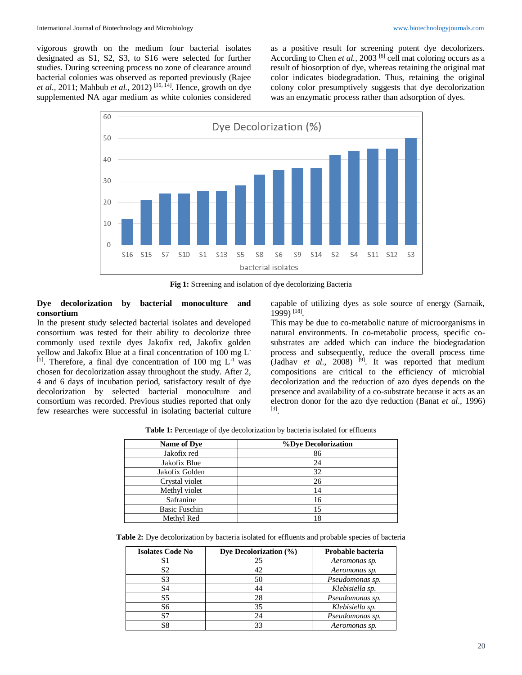vigorous growth on the medium four bacterial isolates designated as S1, S2, S3, to S16 were selected for further studies. During screening process no zone of clearance around bacterial colonies was observed as reported previously (Rajee *et al.,* 2011; Mahbub *et al.,* 2012) [16, 14]. Hence, growth on dye supplemented NA agar medium as white colonies considered

as a positive result for screening potent dye decolorizers. According to Chen *et al.*, 2003<sup>[6]</sup> cell mat coloring occurs as a result of biosorption of dye, whereas retaining the original mat color indicates biodegradation. Thus, retaining the original colony color presumptively suggests that dye decolorization was an enzymatic process rather than adsorption of dyes.



**Fig 1:** Screening and isolation of dye decolorizing Bacteria

# **Dye decolorization by bacterial monoculture and consortium**

In the present study selected bacterial isolates and developed consortium was tested for their ability to decolorize three commonly used textile dyes Jakofix red, Jakofix golden yellow and Jakofix Blue at a final concentration of 100 mg L-  $^{[1]}$ . Therefore, a final dye concentration of 100 mg  $L^{-1}$  was chosen for decolorization assay throughout the study. After 2, 4 and 6 days of incubation period, satisfactory result of dye decolorization by selected bacterial monoculture and consortium was recorded. Previous studies reported that only few researches were successful in isolating bacterial culture

capable of utilizing dyes as sole source of energy (Sarnaik, 1999) [18] .

This may be due to co-metabolic nature of microorganisms in natural environments. In co-metabolic process, specific cosubstrates are added which can induce the biodegradation process and subsequently, reduce the overall process time (Jadhav *et al.*, 2008)  $[9]$ . It was reported that medium compositions are critical to the efficiency of microbial decolorization and the reduction of azo dyes depends on the presence and availability of a co-substrate because it acts as an electron donor for the azo dye reduction (Banat *et al.,* 1996) [3] .

Table 1: Percentage of dye decolorization by bacteria isolated for effluents

| <b>Name of Dye</b>   | %Dye Decolorization |
|----------------------|---------------------|
| Jakofix red          | 86                  |
| Jakofix Blue         | 24                  |
| Jakofix Golden       | 32                  |
| Crystal violet       | 26                  |
| Methyl violet        | 14                  |
| Safranine            | 16                  |
| <b>Basic Fuschin</b> | 15                  |
| Methyl Red           | 18                  |

**Table 2:** Dye decolorization by bacteria isolated for effluents and probable species of bacteria

| <b>Isolates Code No</b> | Dye Decolorization $(\% )$ | Probable bacteria |
|-------------------------|----------------------------|-------------------|
| S1                      | 25                         | Aeromonas sp.     |
| S2                      | 42                         | Aeromonas sp.     |
| S <sub>3</sub>          | 50                         | Pseudomonas sp.   |
| S4                      | 44                         | Klebisiella sp.   |
| S5                      | 28                         | Pseudomonas sp.   |
| S6                      | 35                         | Klebisiella sp.   |
| S7                      | 24                         | Pseudomonas sp.   |
| S8                      | 33                         | Aeromonas sp.     |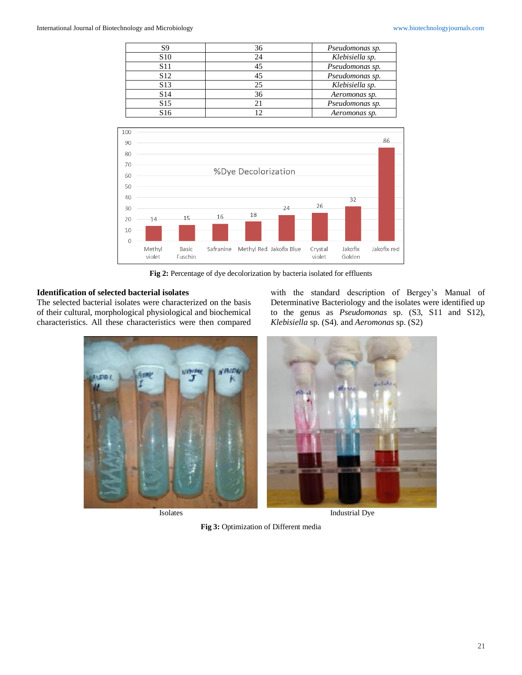| S9              | 36 | Pseudomonas sp. |
|-----------------|----|-----------------|
| S <sub>10</sub> |    | Klebisiella sp. |
| S11             |    | Pseudomonas sp. |
| S <sub>12</sub> |    | Pseudomonas sp. |
| S <sub>13</sub> | 25 | Klebisiella sp. |
| S <sub>14</sub> | 36 | Aeromonas sp.   |
| S <sub>15</sub> |    | Pseudomonas sp. |
| S <sub>16</sub> |    | Aeromonas sp.   |



**Fig 2:** Percentage of dye decolorization by bacteria isolated for effluents

# **Identification of selected bacterial isolates**

The selected bacterial isolates were characterized on the basis of their cultural, morphological physiological and biochemical characteristics. All these characteristics were then compared





Isolates Industrial Dye

**Fig 3:** Optimization of Different media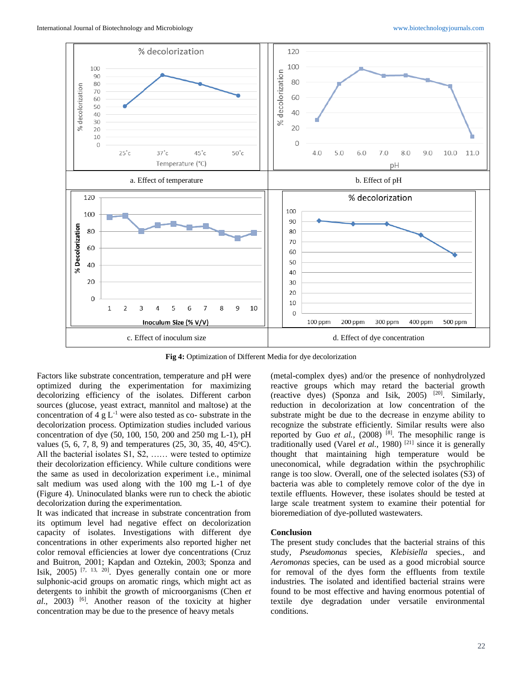

**Fig 4:** Optimization of Different Media for dye decolorization

Factors like substrate concentration, temperature and pH were optimized during the experimentation for maximizing decolorizing efficiency of the isolates. Different carbon sources (glucose, yeast extract, mannitol and maltose) at the concentration of  $4 \text{ g L}^{-1}$  were also tested as co- substrate in the decolorization process. Optimization studies included various concentration of dye (50, 100, 150, 200 and 250 mg L-1), pH values  $(5, 6, 7, 8, 9)$  and temperatures  $(25, 30, 35, 40, 45^{\circ}C)$ . All the bacterial isolates S1, S2, …… were tested to optimize their decolorization efficiency. While culture conditions were the same as used in decolorization experiment i.e., minimal salt medium was used along with the 100 mg L-1 of dye (Figure 4). Uninoculated blanks were run to check the abiotic decolorization during the experimentation.

It was indicated that increase in substrate concentration from its optimum level had negative effect on decolorization capacity of isolates. Investigations with different dye concentrations in other experiments also reported higher net color removal efficiencies at lower dye concentrations (Cruz and Buitron, 2001; Kapdan and Oztekin, 2003; Sponza and Isik,  $2005$ ) <sup>[7, 13, 20]</sup>. Dyes generally contain one or more sulphonic-acid groups on aromatic rings, which might act as detergents to inhibit the growth of microorganisms (Chen *et al.,* 2003) [6]. Another reason of the toxicity at higher concentration may be due to the presence of heavy metals

(metal-complex dyes) and/or the presence of nonhydrolyzed reactive groups which may retard the bacterial growth (reactive dyes) (Sponza and Isik, 2005)  $[20]$ . Similarly, reduction in decolorization at low concentration of the substrate might be due to the decrease in enzyme ability to recognize the substrate efficiently. Similar results were also reported by Guo *et al.*,  $(2008)$ <sup>[8]</sup>. The mesophilic range is traditionally used (Varel *et al.,* 1980) [21] since it is generally thought that maintaining high temperature would be uneconomical, while degradation within the psychrophilic range is too slow. Overall, one of the selected isolates (S3) of bacteria was able to completely remove color of the dye in textile effluents. However, these isolates should be tested at large scale treatment system to examine their potential for bioremediation of dye-polluted wastewaters.

# **Conclusion**

The present study concludes that the bacterial strains of this study, *Pseudomonas* species, *Klebisiella* species., and *Aeromonas* species, can be used as a good microbial source for removal of the dyes form the effluents from textile industries. The isolated and identified bacterial strains were found to be most effective and having enormous potential of textile dye degradation under versatile environmental conditions.